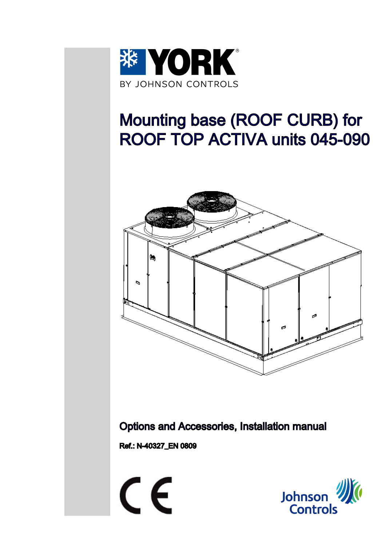

# Mounting base (ROOF CURB) for ROOF TOP ACTIVA units 045-090



Options and Accessories, Installation manual

Ref.: N-40327\_EN 0809

CE

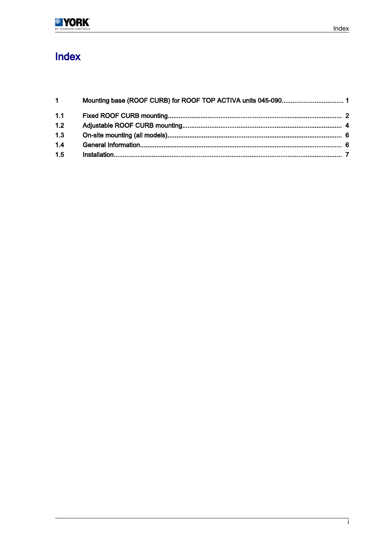### Index

| $1 \quad$ |  |
|-----------|--|
| 1.1       |  |
| 1.2       |  |
| 1.3       |  |
| 1.4       |  |
| 1.5       |  |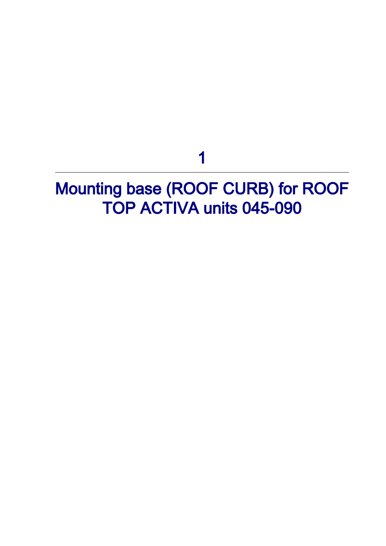1

## <span id="page-2-0"></span>Mounting base (ROOF CURB) for ROOF TOP ACTIVA units 045-090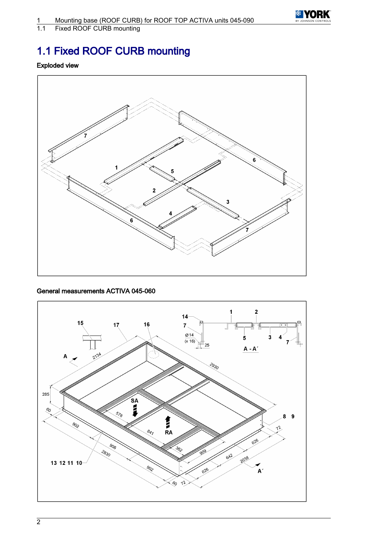

<span id="page-3-0"></span>1.1 Fixed ROOF CURB mounting

### 1.1 Fixed ROOF CURB mounting

#### Exploded view



#### General measurements ACTIVA 045-060

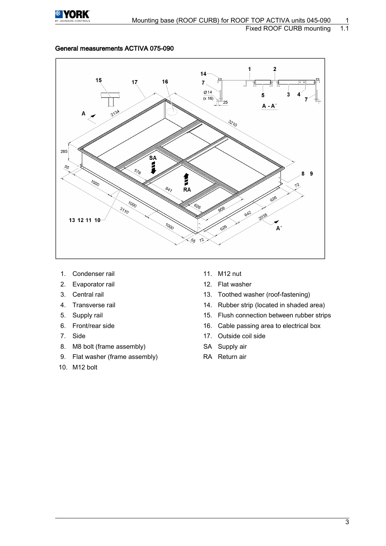

#### General measurements ACTIVA 075-090



- 1. Condenser rail 11. M12 nut
- 2. Evaporator rail 12. Flat washer
- 
- 
- 
- 
- 
- 8. M8 bolt (frame assembly) SA Supply air
- 9. Flat washer (frame assembly) RA Return air
- 10. M12 bolt
- 
- 
- 3. Central rail 13. Toothed washer (roof-fastening)
- 4. Transverse rail 14. Rubber strip (located in shaded area)
- 5. Supply rail 15. Flush connection between rubber strips
- 6. Front/rear side 16. Cable passing area to electrical box
- 7. Side 17. Outside coil side
	-
	-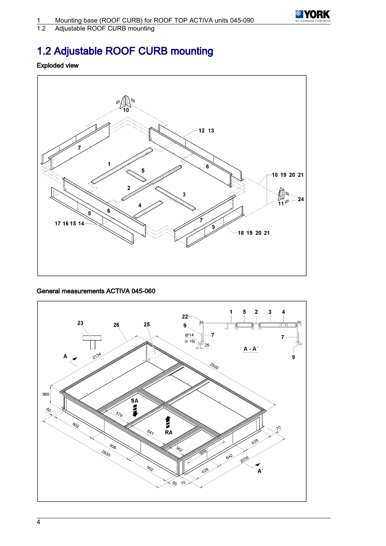

<span id="page-5-0"></span>1.2 Adjustable ROOF CURB mounting

### 1.2 Adjustable ROOF CURB mounting

#### Exploded view



#### General measurements ACTIVA 045-060

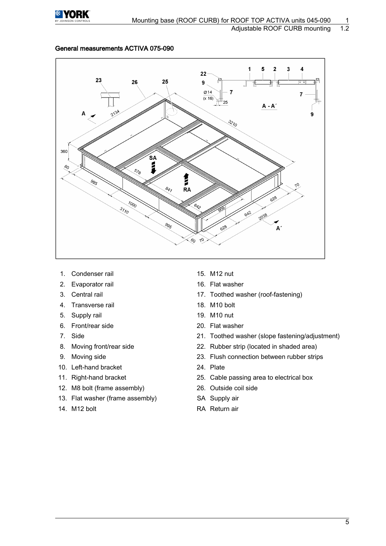

#### General measurements ACTIVA 075-090



- 1. Condenser rail 15. M12 nut
- 2. Evaporator rail 16. Flat washer
- 
- 4. Transverse rail 18. M10 bolt
- 5. Supply rail 19. M10 nut
- 6. Front/rear side 20. Flat washer
- 
- 
- 
- 10. Left-hand bracket 24. Plate
- 
- 12. M8 bolt (frame assembly) 26. Outside coil side
- 13. Flat washer (frame assembly) SA Supply air
- 
- 
- 
- 3. Central rail 17. Toothed washer (roof-fastening)
	-
	-
	-
- 7. Side 21. Toothed washer (slope fastening/adjustment)
- 8. Moving front/rear side 22. Rubber strip (located in shaded area)
- 9. Moving side 23. Flush connection between rubber strips
	-
- 11. Right-hand bracket 25. Cable passing area to electrical box
	-
	-
- 14. M12 bolt RA Return air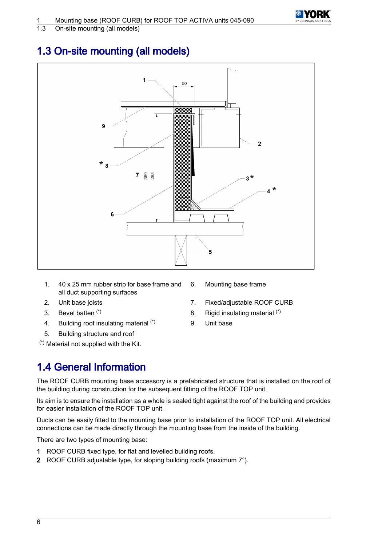<span id="page-7-0"></span>1.3 On-site mounting (all models)

### 1.3 On-site mounting (all models)



- 1. 40 x 25 mm rubber strip for base frame and all duct supporting surfaces
- 
- 
- 4. Building roof insulating material (\*) 9. Unit base
- 5. Building structure and roof

(\*) Material not supplied with the Kit.

- 6. Mounting base frame
- 2. Unit base joists 7. Fixed/adjustable ROOF CURB
- 3. Bevel batten  $(*)$  8. Rigid insulating material  $(*)$ 
	-

### 1.4 General Information

The ROOF CURB mounting base accessory is a prefabricated structure that is installed on the roof of the building during construction for the subsequent fitting of the ROOF TOP unit.

Its aim is to ensure the installation as a whole is sealed tight against the roof of the building and provides for easier installation of the ROOF TOP unit.

Ducts can be easily fitted to the mounting base prior to installation of the ROOF TOP unit. All electrical connections can be made directly through the mounting base from the inside of the building.

There are two types of mounting base:

- 1 ROOF CURB fixed type, for flat and levelled building roofs.
- 2 ROOF CURB adjustable type, for sloping building roofs (maximum 7°).